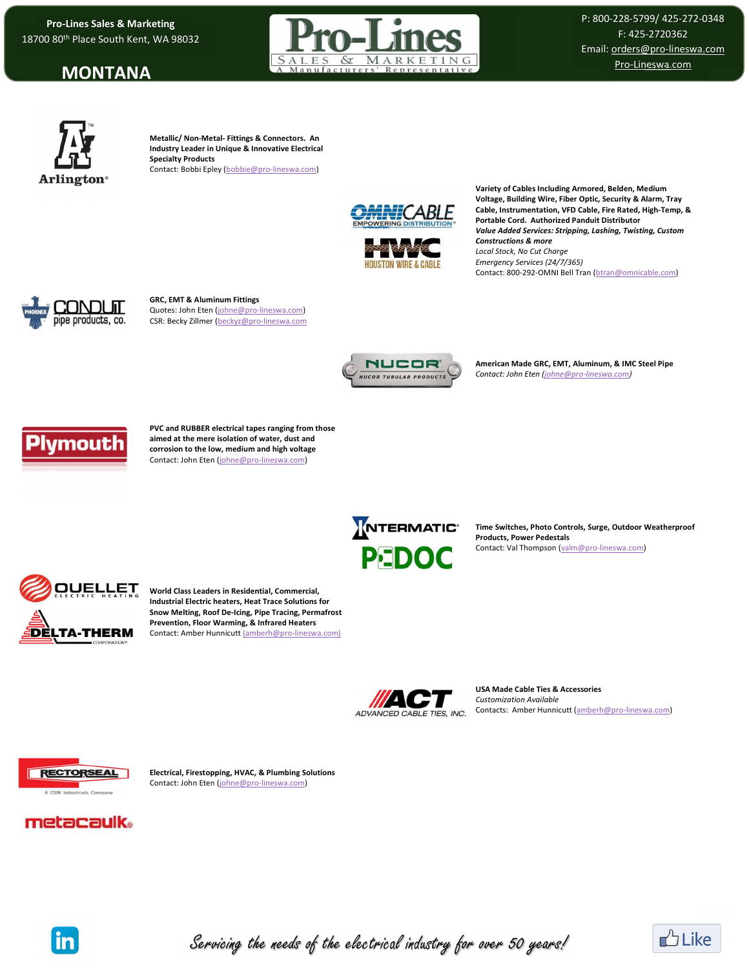Pro-Lines Sales & Marketing<br>0 80<sup>th</sup> Place South Kent, WA 98032 18700 80th Place South Kent, WA 98032

### MONTANA



P: 800-228-5799/ 425-272-0348 F: 425-2720362 Email: orders@pro-lineswa.com Pro-Lineswa.com



Metallic/ Non-Metal- Fittings & Connectors. An Industry Leader in Unique & Innovative Electrical Specialty Products Contact: Bobbi Epley (bobbie@pro-lineswa.com)



**HOUSTON WIRE & CABLI** 

Variety of Cables Including Armored, Belden, Medium Voltage, Building Wire, Fiber Optic, Security & Alarm, Tray Cable, Instrumentation, VFD Cable, Fire Rated, High-Temp, & Portable Cord. Authorized Panduit Distributor Value Added Services: Stripping, Lashing, Twisting, Custom Constructions & more Local Stock, No Cut Charge Emergency Services (24/7/365) Contact: 800-292-OMNI Bell Tran (btran@omnicable.com)



GRC, EMT & Aluminum Fittings Quotes: John Eten (johne@pro-lineswa.com) CSR: Becky Zillmer (beckyz@pro-lineswa.com



American Made GRC, EMT, Aluminum, & IMC Steel Pipe Contact: John Eten (johne@pro-lineswa.com)



PVC and RUBBER electrical tapes ranging from those aimed at the mere isolation of water, dust and corrosion to the low, medium and high voltage Contact: John Eten (johne@pro-lineswa.com)



Time Switches, Photo Controls, Surge, Outdoor Weatherproof Products, Power Pedestals Contact: Val Thompson (valm@pro-lineswa.com)



World Class Leaders in Residential, Commercial, Industrial Electric heaters, Heat Trace Solutions for Snow Melting, Roof De-Icing, Pipe Tracing, Permafrost Prevention, Floor Warming, & Infrared Heaters Contact: Amber Hunnicutt (amberh@pro-lineswa.com)



USA Made Cable Ties & Accessories Customization Available Contacts: Amber Hunnicutt (amberh@pro-lineswa.com)



Electrical, Firestopping, HVAC, & Plumbing Solutions Contact: John Eten (johne@pro-lineswa.com)

# metacaulk。



Servicing the needs of the electrical industry for over 50 years!